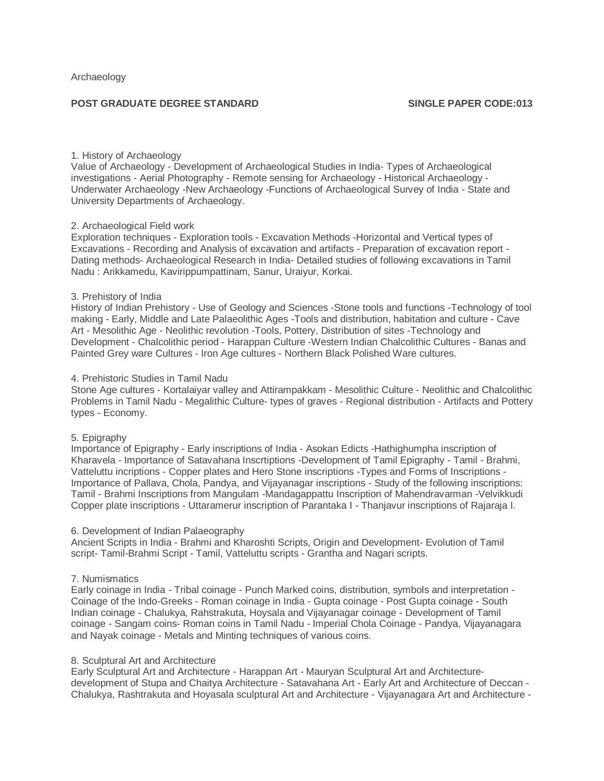# **POST GRADUATE DEGREE STANDARD SINGLE PAPER CODE:013**

# 1. History of Archaeology

Value of Archaeology - Development of Archaeological Studies in India- Types of Archaeological investigations - Aerial Photography - Remote sensing for Archaeology - Historical Archaeology - Underwater Archaeology -New Archaeology -Functions of Archaeological Survey of India - State and University Departments of Archaeology.

### 2. Archaeological Field work

Exploration techniques - Exploration tools - Excavation Methods -Horizontal and Vertical types of Excavations - Recording and Analysis of excavation and artifacts - Preparation of excavation report - Dating methods- Archaeological Research in India- Detailed studies of following excavations in Tamil Nadu : Arikkamedu, Kavirippumpattinam, Sanur, Uraiyur, Korkai.

### 3. Prehistory of India

History of Indian Prehistory - Use of Geology and Sciences -Stone tools and functions -Technology of tool making - Early, Middle and Late Palaeolithic Ages -Tools and distribution, habitation and culture - Cave Art - Mesolithic Age - Neolithic revolution -Tools, Pottery, Distribution of sites -Technology and Development - Chalcolithic period - Harappan Culture -Western Indian Chalcolithic Cultures - Banas and Painted Grey ware Cultures - Iron Age cultures - Northern Black Polished Ware cultures.

### 4. Prehistoric Studies in Tamil Nadu

Stone Age cultures - Kortalaiyar valley and Attirampakkam - Mesolithic Culture - Neolithic and Chalcolithic Problems in Tamil Nadu - Megalithic Culture- types of graves - Regional distribution - Artifacts and Pottery types - Economy.

# 5. Epigraphy

Importance of Epigraphy - Early inscriptions of India - Asokan Edicts -Hathighumpha inscription of Kharavela - Importance of Satavahana Inscrtiptions -Development of Tamil Epigraphy - Tamil - Brahmi, Vatteluttu incriptions - Copper plates and Hero Stone inscriptions -Types and Forms of Inscriptions - Importance of Pallava, Chola, Pandya, and Vijayanagar inscriptions - Study of the following inscriptions: Tamil - Brahmi Inscriptions from Mangulam -Mandagappattu Inscription of Mahendravarman -Velvikkudi Copper plate inscriptions - Uttaramerur inscription of Parantaka I - Thanjavur inscriptions of Rajaraja I.

#### 6. Development of Indian Palaeography

Ancient Scripts in India - Brahmi and Kharoshti Scripts, Origin and Development- Evolution of Tamil script- Tamil-Brahmi Script - Tamil, Vatteluttu scripts - Grantha and Nagari scripts.

# 7. Numismatics

Early coinage in India - Tribal coinage - Punch Marked coins, distribution, symbols and interpretation - Coinage of the Indo-Greeks - Roman coinage in India - Gupta coinage - Post Gupta coinage - South Indian coinage - Chalukya, Rahstrakuta, Hoysala and Vijayanagar coinage - Development of Tamil coinage - Sangam coins- Roman coins in Tamil Nadu - Imperial Chola Coinage - Pandya, Vijayanagara and Nayak coinage - Metals and Minting techniques of various coins.

#### 8. Sculptural Art and Architecture

Early Sculptural Art and Architecture - Harappan Art - Mauryan Sculptural Art and Architecturedevelopment of Stupa and Chaitya Architecture - Satavahana Art - Early Art and Architecture of Deccan - Chalukya, Rashtrakuta and Hoyasala sculptural Art and Architecture - Vijayanagara Art and Architecture -